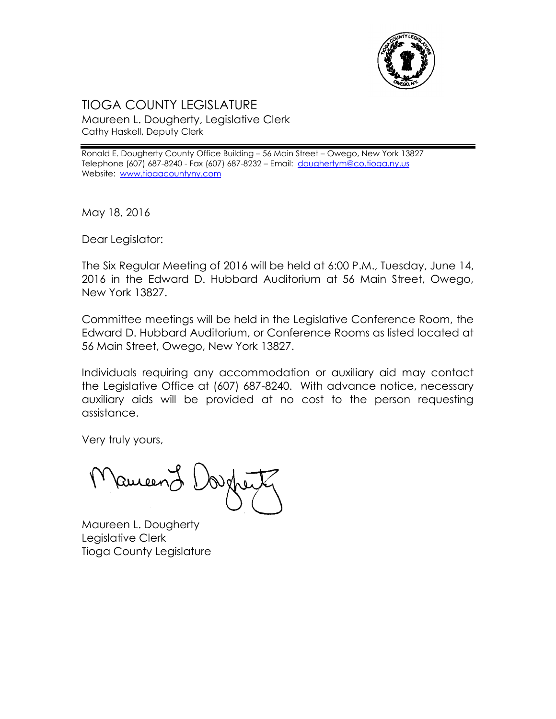

## TIOGA COUNTY LEGISLATURE Maureen L. Dougherty, Legislative Clerk Cathy Haskell, Deputy Clerk

Ronald E. Dougherty County Office Building – 56 Main Street – Owego, New York 13827 Telephone (607) 687-8240 - Fax (607) 687-8232 - Email: [doughertym@co.tioga.ny.us](mailto:doughertym@co.tioga.ny.us) Website: [www.tiogacountyny.com](http://www.tiogacountyny.com/)

May 18, 2016

Dear Legislator:

The Six Regular Meeting of 2016 will be held at 6:00 P.M., Tuesday, June 14, 2016 in the Edward D. Hubbard Auditorium at 56 Main Street, Owego, New York 13827.

Committee meetings will be held in the Legislative Conference Room, the Edward D. Hubbard Auditorium, or Conference Rooms as listed located at 56 Main Street, Owego, New York 13827.

Individuals requiring any accommodation or auxiliary aid may contact the Legislative Office at (607) 687-8240. With advance notice, necessary auxiliary aids will be provided at no cost to the person requesting assistance.

Very truly yours,

Ruceer

Maureen L. Dougherty Legislative Clerk Tioga County Legislature